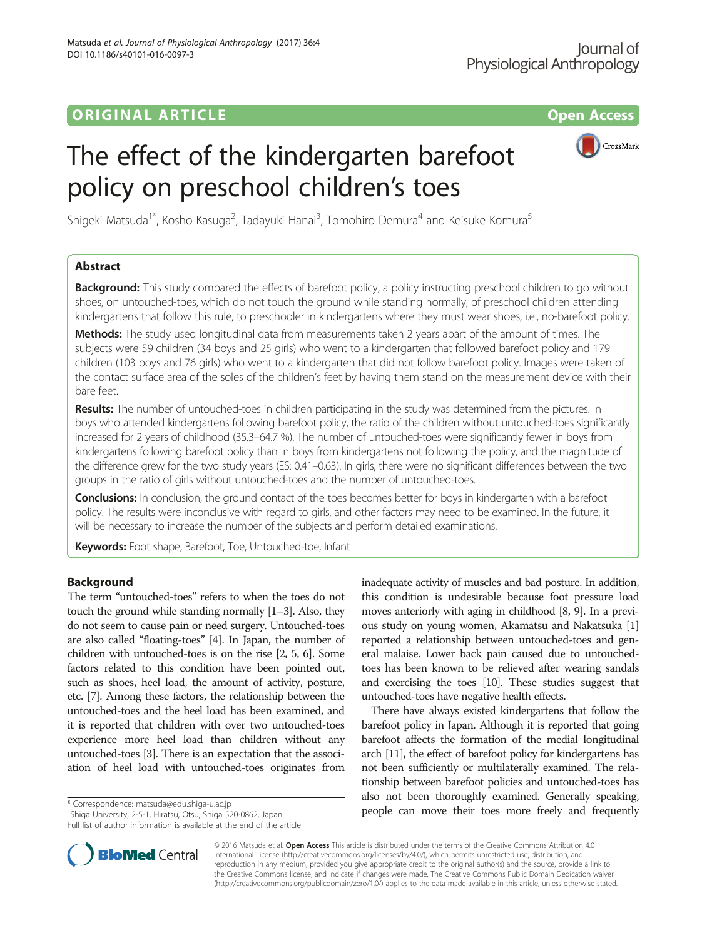## ORIGINAL ARTICLE AND INTERNATIONAL ARTICLE AND INTERNATIONAL ARTICLE AND INTERNATIONAL ARTICLE

# The effect of the kindergarten barefoot policy on preschool children's toes



Shigeki Matsuda<sup>1\*</sup>, Kosho Kasuga<sup>2</sup>, Tadayuki Hanai<sup>3</sup>, Tomohiro Demura<sup>4</sup> and Keisuke Komura<sup>5</sup>

## Abstract

Background: This study compared the effects of barefoot policy, a policy instructing preschool children to go without shoes, on untouched-toes, which do not touch the ground while standing normally, of preschool children attending kindergartens that follow this rule, to preschooler in kindergartens where they must wear shoes, i.e., no-barefoot policy.

Methods: The study used longitudinal data from measurements taken 2 years apart of the amount of times. The subjects were 59 children (34 boys and 25 girls) who went to a kindergarten that followed barefoot policy and 179 children (103 boys and 76 girls) who went to a kindergarten that did not follow barefoot policy. Images were taken of the contact surface area of the soles of the children's feet by having them stand on the measurement device with their bare feet.

Results: The number of untouched-toes in children participating in the study was determined from the pictures. In boys who attended kindergartens following barefoot policy, the ratio of the children without untouched-toes significantly increased for 2 years of childhood (35.3–64.7 %). The number of untouched-toes were significantly fewer in boys from kindergartens following barefoot policy than in boys from kindergartens not following the policy, and the magnitude of the difference grew for the two study years (ES: 0.41–0.63). In girls, there were no significant differences between the two groups in the ratio of girls without untouched-toes and the number of untouched-toes.

Conclusions: In conclusion, the ground contact of the toes becomes better for boys in kindergarten with a barefoot policy. The results were inconclusive with regard to girls, and other factors may need to be examined. In the future, it will be necessary to increase the number of the subjects and perform detailed examinations.

Keywords: Foot shape, Barefoot, Toe, Untouched-toe, Infant

## Background

The term "untouched-toes" refers to when the toes do not touch the ground while standing normally [\[1](#page-6-0)–[3\]](#page-6-0). Also, they do not seem to cause pain or need surgery. Untouched-toes are also called "floating-toes" [\[4\]](#page-6-0). In Japan, the number of children with untouched-toes is on the rise [\[2](#page-6-0), [5](#page-6-0), [6](#page-6-0)]. Some factors related to this condition have been pointed out, such as shoes, heel load, the amount of activity, posture, etc. [\[7](#page-6-0)]. Among these factors, the relationship between the untouched-toes and the heel load has been examined, and it is reported that children with over two untouched-toes experience more heel load than children without any untouched-toes [\[3](#page-6-0)]. There is an expectation that the association of heel load with untouched-toes originates from

<sup>1</sup>Shiga University, 2-5-1, Hiratsu, Otsu, Shiga 520-0862, Japan Full list of author information is available at the end of the article



There have always existed kindergartens that follow the barefoot policy in Japan. Although it is reported that going barefoot affects the formation of the medial longitudinal arch [[11\]](#page-6-0), the effect of barefoot policy for kindergartens has not been sufficiently or multilaterally examined. The relationship between barefoot policies and untouched-toes has also not been thoroughly examined. Generally speaking, \* Correspondence: [matsuda@edu.shiga-u.ac.jp](mailto:matsuda@edu.shiga-u.ac.jp)<br><sup>1</sup>Shiga University 2-5-1 Hiratsu Otsu Shiga-520-0862 Japan<br>**1**Shiga University 2-5-1 Hiratsu Otsu Shiga-520-0862 Japan



© 2016 Matsuda et al. **Open Access** This article is distributed under the terms of the Creative Commons Attribution 4.0 International License [\(http://creativecommons.org/licenses/by/4.0/](http://creativecommons.org/licenses/by/4.0/)), which permits unrestricted use, distribution, and reproduction in any medium, provided you give appropriate credit to the original author(s) and the source, provide a link to the Creative Commons license, and indicate if changes were made. The Creative Commons Public Domain Dedication waiver [\(http://creativecommons.org/publicdomain/zero/1.0/](http://creativecommons.org/publicdomain/zero/1.0/)) applies to the data made available in this article, unless otherwise stated.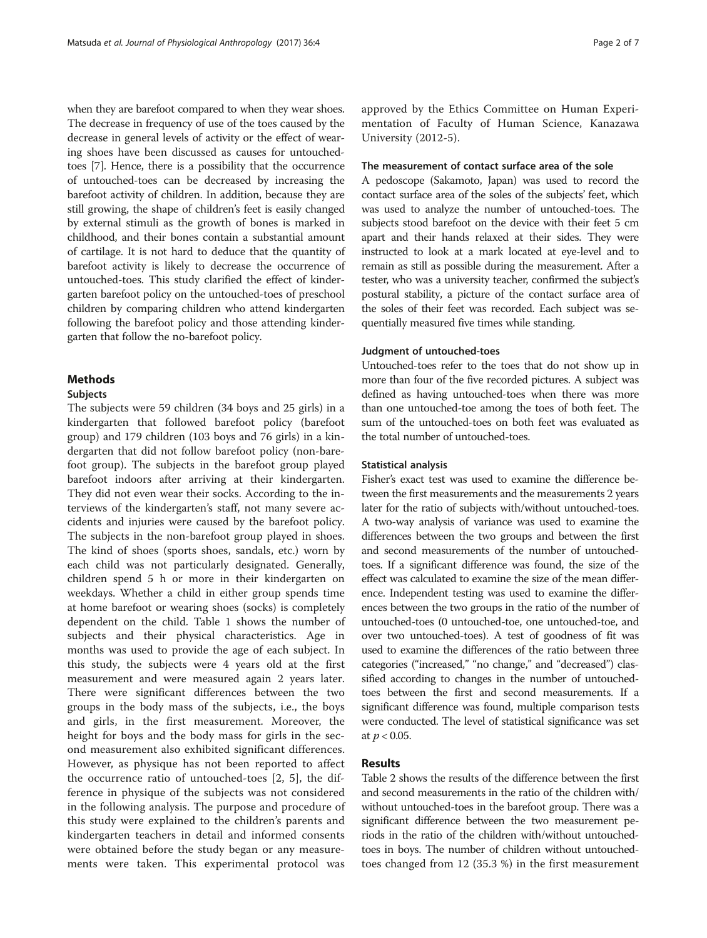when they are barefoot compared to when they wear shoes. The decrease in frequency of use of the toes caused by the decrease in general levels of activity or the effect of wearing shoes have been discussed as causes for untouchedtoes [[7](#page-6-0)]. Hence, there is a possibility that the occurrence of untouched-toes can be decreased by increasing the barefoot activity of children. In addition, because they are still growing, the shape of children's feet is easily changed by external stimuli as the growth of bones is marked in childhood, and their bones contain a substantial amount of cartilage. It is not hard to deduce that the quantity of barefoot activity is likely to decrease the occurrence of untouched-toes. This study clarified the effect of kindergarten barefoot policy on the untouched-toes of preschool children by comparing children who attend kindergarten following the barefoot policy and those attending kindergarten that follow the no-barefoot policy.

### **Methods**

#### Subjects

The subjects were 59 children (34 boys and 25 girls) in a kindergarten that followed barefoot policy (barefoot group) and 179 children (103 boys and 76 girls) in a kindergarten that did not follow barefoot policy (non-barefoot group). The subjects in the barefoot group played barefoot indoors after arriving at their kindergarten. They did not even wear their socks. According to the interviews of the kindergarten's staff, not many severe accidents and injuries were caused by the barefoot policy. The subjects in the non-barefoot group played in shoes. The kind of shoes (sports shoes, sandals, etc.) worn by each child was not particularly designated. Generally, children spend 5 h or more in their kindergarten on weekdays. Whether a child in either group spends time at home barefoot or wearing shoes (socks) is completely dependent on the child. Table [1](#page-2-0) shows the number of subjects and their physical characteristics. Age in months was used to provide the age of each subject. In this study, the subjects were 4 years old at the first measurement and were measured again 2 years later. There were significant differences between the two groups in the body mass of the subjects, i.e., the boys and girls, in the first measurement. Moreover, the height for boys and the body mass for girls in the second measurement also exhibited significant differences. However, as physique has not been reported to affect the occurrence ratio of untouched-toes [[2, 5\]](#page-6-0), the difference in physique of the subjects was not considered in the following analysis. The purpose and procedure of this study were explained to the children's parents and kindergarten teachers in detail and informed consents were obtained before the study began or any measurements were taken. This experimental protocol was

approved by the Ethics Committee on Human Experimentation of Faculty of Human Science, Kanazawa University (2012-5).

#### The measurement of contact surface area of the sole

A pedoscope (Sakamoto, Japan) was used to record the contact surface area of the soles of the subjects' feet, which was used to analyze the number of untouched-toes. The subjects stood barefoot on the device with their feet 5 cm apart and their hands relaxed at their sides. They were instructed to look at a mark located at eye-level and to remain as still as possible during the measurement. After a tester, who was a university teacher, confirmed the subject's postural stability, a picture of the contact surface area of the soles of their feet was recorded. Each subject was sequentially measured five times while standing.

#### Judgment of untouched-toes

Untouched-toes refer to the toes that do not show up in more than four of the five recorded pictures. A subject was defined as having untouched-toes when there was more than one untouched-toe among the toes of both feet. The sum of the untouched-toes on both feet was evaluated as the total number of untouched-toes.

#### Statistical analysis

Fisher's exact test was used to examine the difference between the first measurements and the measurements 2 years later for the ratio of subjects with/without untouched-toes. A two-way analysis of variance was used to examine the differences between the two groups and between the first and second measurements of the number of untouchedtoes. If a significant difference was found, the size of the effect was calculated to examine the size of the mean difference. Independent testing was used to examine the differences between the two groups in the ratio of the number of untouched-toes (0 untouched-toe, one untouched-toe, and over two untouched-toes). A test of goodness of fit was used to examine the differences of the ratio between three categories ("increased," "no change," and "decreased") classified according to changes in the number of untouchedtoes between the first and second measurements. If a significant difference was found, multiple comparison tests were conducted. The level of statistical significance was set at  $p < 0.05$ .

### Results

Table [2](#page-2-0) shows the results of the difference between the first and second measurements in the ratio of the children with/ without untouched-toes in the barefoot group. There was a significant difference between the two measurement periods in the ratio of the children with/without untouchedtoes in boys. The number of children without untouchedtoes changed from 12 (35.3 %) in the first measurement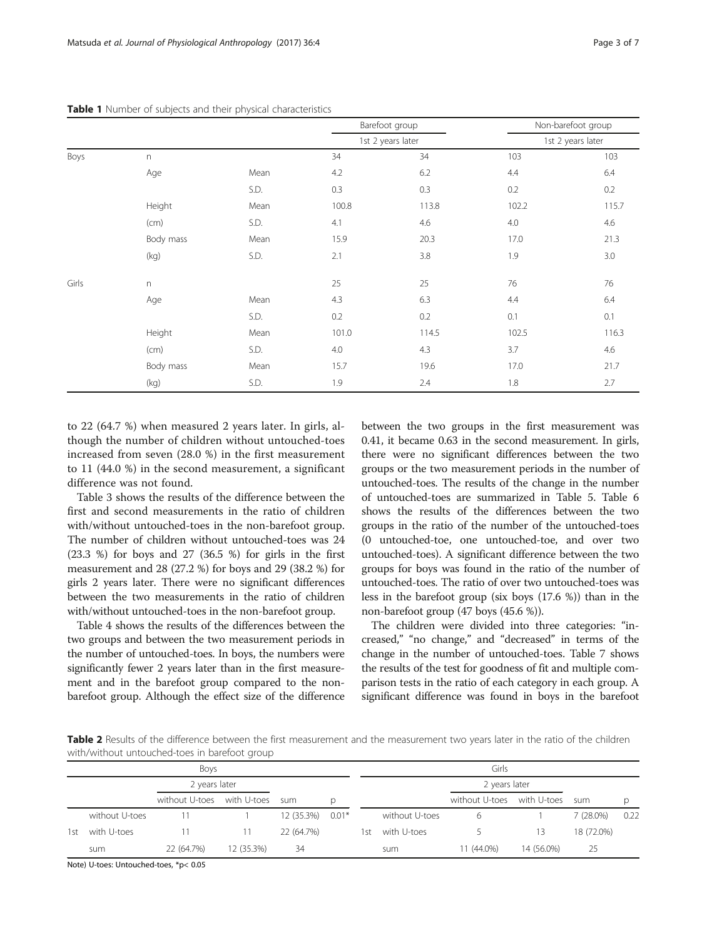|           |      |       |       |                                     | Non-barefoot group |  |  |
|-----------|------|-------|-------|-------------------------------------|--------------------|--|--|
|           |      |       |       | 1st 2 years later                   |                    |  |  |
| n         |      | 34    | 34    | 103                                 | 103                |  |  |
| Age       | Mean | 4.2   | 6.2   | 4.4                                 | 6.4                |  |  |
|           | S.D. | 0.3   | 0.3   | 0.2                                 | 0.2                |  |  |
| Height    | Mean | 100.8 | 113.8 | 102.2                               | 115.7              |  |  |
| (cm)      | S.D. | 4.1   | 4.6   | 4.0                                 | 4.6                |  |  |
| Body mass | Mean | 15.9  | 20.3  | 17.0                                | 21.3               |  |  |
| (kg)      | S.D. | 2.1   | 3.8   | 1.9                                 | 3.0                |  |  |
| n         |      | 25    | 25    | 76                                  | 76                 |  |  |
| Age       | Mean | 4.3   | 6.3   | 4.4                                 | 6.4                |  |  |
|           | S.D. | 0.2   | 0.2   | 0.1                                 | 0.1                |  |  |
| Height    | Mean | 101.0 | 114.5 | 102.5                               | 116.3              |  |  |
| (cm)      | S.D. | 4.0   | 4.3   | 3.7                                 | 4.6                |  |  |
| Body mass | Mean |       | 19.6  | 17.0                                | 21.7               |  |  |
| (kg)      | S.D. | 1.9   | 2.4   | 1.8                                 | 2.7                |  |  |
|           |      |       | 15.7  | Barefoot group<br>1st 2 years later |                    |  |  |

#### <span id="page-2-0"></span>Table 1 Number of subjects and their physical characteristics

to 22 (64.7 %) when measured 2 years later. In girls, although the number of children without untouched-toes increased from seven (28.0 %) in the first measurement to 11 (44.0 %) in the second measurement, a significant difference was not found.

Table [3](#page-3-0) shows the results of the difference between the first and second measurements in the ratio of children with/without untouched-toes in the non-barefoot group. The number of children without untouched-toes was 24 (23.3 %) for boys and 27 (36.5 %) for girls in the first measurement and 28 (27.2 %) for boys and 29 (38.2 %) for girls 2 years later. There were no significant differences between the two measurements in the ratio of children with/without untouched-toes in the non-barefoot group.

Table [4](#page-3-0) shows the results of the differences between the two groups and between the two measurement periods in the number of untouched-toes. In boys, the numbers were significantly fewer 2 years later than in the first measurement and in the barefoot group compared to the nonbarefoot group. Although the effect size of the difference between the two groups in the first measurement was 0.41, it became 0.63 in the second measurement. In girls, there were no significant differences between the two groups or the two measurement periods in the number of untouched-toes. The results of the change in the number of untouched-toes are summarized in Table [5](#page-4-0). Table [6](#page-4-0) shows the results of the differences between the two groups in the ratio of the number of the untouched-toes (0 untouched-toe, one untouched-toe, and over two untouched-toes). A significant difference between the two groups for boys was found in the ratio of the number of untouched-toes. The ratio of over two untouched-toes was less in the barefoot group (six boys (17.6 %)) than in the non-barefoot group (47 boys (45.6 %)).

The children were divided into three categories: "increased," "no change," and "decreased" in terms of the change in the number of untouched-toes. Table [7](#page-5-0) shows the results of the test for goodness of fit and multiple comparison tests in the ratio of each category in each group. A significant difference was found in boys in the barefoot

Table 2 Results of the difference between the first measurement and the measurement two years later in the ratio of the children with/without untouched-toes in barefoot group

|      |                | Boys           |             |            | Girls   |      |                |                |             |             |      |  |
|------|----------------|----------------|-------------|------------|---------|------|----------------|----------------|-------------|-------------|------|--|
|      |                | 2 years later  |             |            |         |      | 2 years later  |                |             |             |      |  |
|      |                | without U-toes | with U-toes | sum        | D       |      |                | without U-toes | with U-toes | sum         |      |  |
|      | without U-toes |                |             | 12 (35.3%) | $0.01*$ |      | without U-toes | 6              |             | $7(28.0\%)$ | 0.22 |  |
| 1st. | with U-toes    |                |             | 22 (64.7%) |         | l st | with U-toes    |                | 13          | 18 (72.0%)  |      |  |
|      | sum            | 22 (64.7%)     | 12 (35.3%)  | 34         |         |      | sum            | 11 (44.0%)     | 14 (56.0%)  | 25          |      |  |

Note) U-toes: Untouched-toes, \*p< 0.05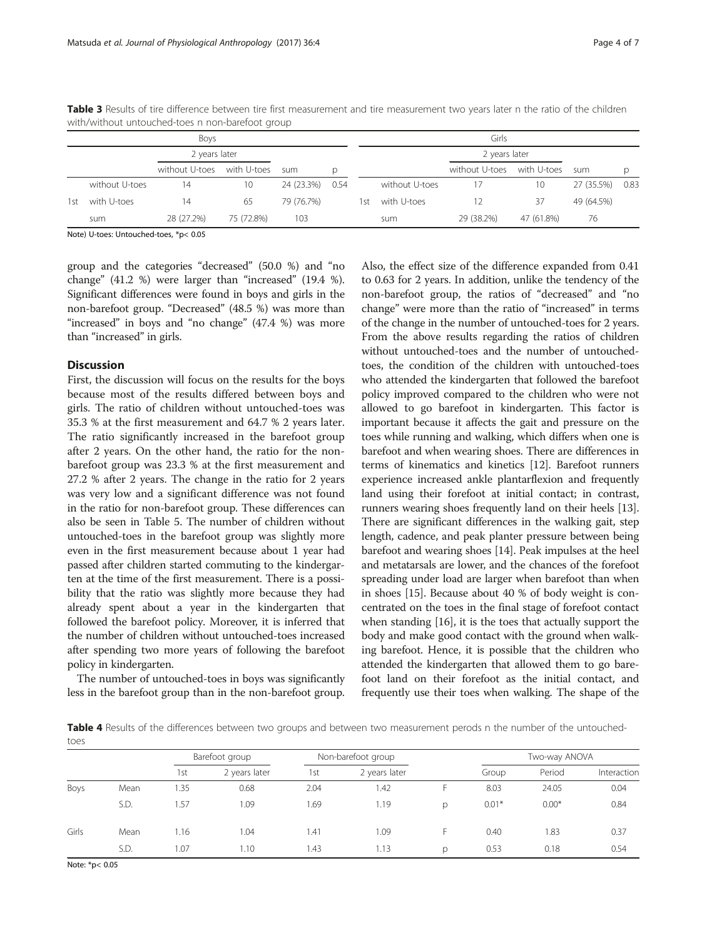|     |                | <b>Boys</b>    |                 |                 | Girls |      |                |                |             |            |      |  |
|-----|----------------|----------------|-----------------|-----------------|-------|------|----------------|----------------|-------------|------------|------|--|
|     |                | 2 years later  |                 |                 |       |      | 2 years later  |                |             |            |      |  |
|     |                | without U-toes | with U-toes     | sum             | D     |      |                | without U-toes | with U-toes | sum        | D    |  |
|     | without U-toes | 14             | 10 <sup>°</sup> | 24 (23.3%) 0.54 |       |      | without U-toes |                | 10          | 27 (35.5%) | 0.83 |  |
| 1st | with U-toes    | 14             | 65              | 79 (76.7%)      |       | l st | with U-toes    |                | 37          | 49 (64.5%) |      |  |
|     | sum            | 28 (27.2%)     | 75 (72.8%)      | 103             |       |      | sum            | 29 (38.2%)     | 47 (61.8%)  | 76         |      |  |

<span id="page-3-0"></span>Table 3 Results of tire difference between tire first measurement and tire measurement two years later n the ratio of the children with/without untouched-toes n non-barefoot group

Note) U-toes: Untouched-toes, \*p< 0.05

group and the categories "decreased" (50.0 %) and "no change" (41.2 %) were larger than "increased" (19.4 %). Significant differences were found in boys and girls in the non-barefoot group. "Decreased" (48.5 %) was more than "increased" in boys and "no change" (47.4 %) was more than "increased" in girls.

#### **Discussion**

First, the discussion will focus on the results for the boys because most of the results differed between boys and girls. The ratio of children without untouched-toes was 35.3 % at the first measurement and 64.7 % 2 years later. The ratio significantly increased in the barefoot group after 2 years. On the other hand, the ratio for the nonbarefoot group was 23.3 % at the first measurement and 27.2 % after 2 years. The change in the ratio for 2 years was very low and a significant difference was not found in the ratio for non-barefoot group. These differences can also be seen in Table 5. The number of children without untouched-toes in the barefoot group was slightly more even in the first measurement because about 1 year had passed after children started commuting to the kindergarten at the time of the first measurement. There is a possibility that the ratio was slightly more because they had already spent about a year in the kindergarten that followed the barefoot policy. Moreover, it is inferred that the number of children without untouched-toes increased after spending two more years of following the barefoot policy in kindergarten.

The number of untouched-toes in boys was significantly less in the barefoot group than in the non-barefoot group.

Also, the effect size of the difference expanded from 0.41 to 0.63 for 2 years. In addition, unlike the tendency of the non-barefoot group, the ratios of "decreased" and "no change" were more than the ratio of "increased" in terms of the change in the number of untouched-toes for 2 years. From the above results regarding the ratios of children without untouched-toes and the number of untouchedtoes, the condition of the children with untouched-toes who attended the kindergarten that followed the barefoot policy improved compared to the children who were not allowed to go barefoot in kindergarten. This factor is important because it affects the gait and pressure on the toes while running and walking, which differs when one is barefoot and when wearing shoes. There are differences in terms of kinematics and kinetics [\[12](#page-6-0)]. Barefoot runners experience increased ankle plantarflexion and frequently land using their forefoot at initial contact; in contrast, runners wearing shoes frequently land on their heels [[13](#page-6-0)]. There are significant differences in the walking gait, step length, cadence, and peak planter pressure between being barefoot and wearing shoes [[14\]](#page-6-0). Peak impulses at the heel and metatarsals are lower, and the chances of the forefoot spreading under load are larger when barefoot than when in shoes [\[15\]](#page-6-0). Because about 40 % of body weight is concentrated on the toes in the final stage of forefoot contact when standing [\[16](#page-6-0)], it is the toes that actually support the body and make good contact with the ground when walking barefoot. Hence, it is possible that the children who attended the kindergarten that allowed them to go barefoot land on their forefoot as the initial contact, and frequently use their toes when walking. The shape of the

Table 4 Results of the differences between two groups and between two measurement perods n the number of the untouchedtoes

|       |      |      | Barefoot group |      | Non-barefoot group |   |         | Two-way ANOVA |             |
|-------|------|------|----------------|------|--------------------|---|---------|---------------|-------------|
|       |      | 1st  | 2 years later  | 1st  | 2 years later      |   | Group   | Period        | Interaction |
| Boys  | Mean | l.35 | 0.68           | 2.04 | .42                |   | 8.03    | 24.05         | 0.04        |
|       | S.D. | .57  | 1.09           | .69  | 1.19               | D | $0.01*$ | $0.00*$       | 0.84        |
| Girls | Mean | 1.16 | 1.04           | 1.41 | 0.09               | F | 0.40    | 1.83          | 0.37        |
|       | S.D. | .07  | 1.10           | .43  | 1.13               | p | 0.53    | 0.18          | 0.54        |

Note: \*p< 0.05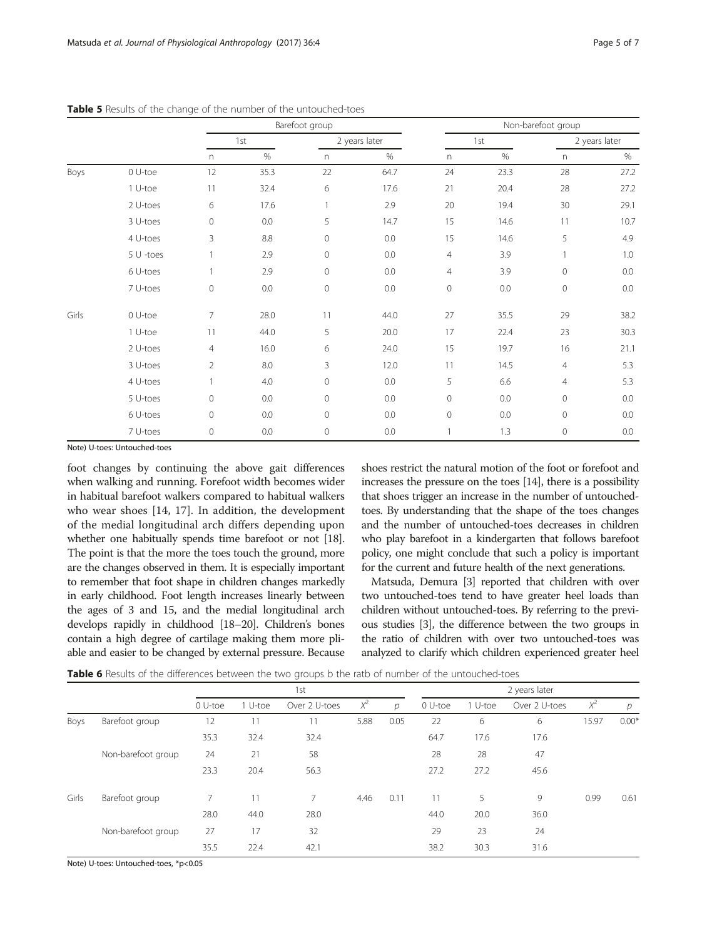|       |           |                |         | Barefoot group |               |                | Non-barefoot group |                |         |  |  |  |
|-------|-----------|----------------|---------|----------------|---------------|----------------|--------------------|----------------|---------|--|--|--|
|       |           |                | 1st     |                | 2 years later |                | 1st                | 2 years later  |         |  |  |  |
|       |           | n              | $\%$    | n              | $\%$          | n              | $\%$               | $\Gamma$       | $\%$    |  |  |  |
| Boys  | $0$ U-toe | 12             | 35.3    | 22             | 64.7          | 24             | 23.3               | 28             | 27.2    |  |  |  |
|       | 1 U-toe   | 11             | 32.4    | 6              | 17.6          | 21             | 20.4               | 28             | 27.2    |  |  |  |
|       | 2 U-toes  | 6              | 17.6    | $\mathbf{1}$   | 2.9           | 20             | 19.4               | 30             | 29.1    |  |  |  |
|       | 3 U-toes  | 0              | 0.0     | 5              | 14.7          | 15             | 14.6               | 11             | 10.7    |  |  |  |
|       | 4 U-toes  | 3              | 8.8     | 0              | 0.0           | 15             | 14.6               | 5              | 4.9     |  |  |  |
|       | 5 U -toes | $\mathbf{1}$   | 2.9     | 0              | 0.0           | $\overline{4}$ | 3.9                |                | 1.0     |  |  |  |
|       | 6 U-toes  | 2.9            |         | $\mathbf 0$    | 0.0           | $\overline{4}$ | 3.9                | $\mathbf 0$    | 0.0     |  |  |  |
|       | 7 U-toes  | $\mathbf 0$    | $0.0\,$ | $\mathbf 0$    | 0.0           | $\mathbf 0$    | $0.0\,$            | $\mathbf 0$    | 0.0     |  |  |  |
| Girls | 0 U-toe   | $\overline{7}$ | 28.0    | 11             | 44.0          | 27             | 35.5               | 29             | 38.2    |  |  |  |
|       | 1 U-toe   | 11             | 44.0    | 5              | 20.0          | 17             | 22.4               | 23             | 30.3    |  |  |  |
|       | 2 U-toes  | $\overline{4}$ | 16.0    | 6              | 24.0          | 15             | 19.7               | 16             | 21.1    |  |  |  |
|       | 3 U-toes  | $\overline{2}$ | 8.0     | 3              | 12.0          | 11             | 14.5               | $\overline{4}$ | 5.3     |  |  |  |
|       | 4 U-toes  |                | 4.0     | 0              | 0.0           | 5              | 6.6                | 4              | 5.3     |  |  |  |
|       | 5 U-toes  | $\circ$        | 0.0     | 0              | 0.0           | $\circ$        | 0.0                | $\mathbf{0}$   | 0.0     |  |  |  |
|       | 6 U-toes  | $\circ$        | 0.0     | 0              | 0.0           | $\circ$        | 0.0                | $\Omega$       | 0.0     |  |  |  |
|       | 7 U-toes  | $\overline{0}$ | 0.0     | $\mathbf 0$    | 0.0           |                | 1.3                | $\mathbf{0}$   | $0.0\,$ |  |  |  |

<span id="page-4-0"></span>Table 5 Results of the change of the number of the untouched-toes

Note) U-toes: Untouched-toes

foot changes by continuing the above gait differences when walking and running. Forefoot width becomes wider in habitual barefoot walkers compared to habitual walkers who wear shoes [[14, 17\]](#page-6-0). In addition, the development of the medial longitudinal arch differs depending upon whether one habitually spends time barefoot or not [\[18](#page-6-0)]. The point is that the more the toes touch the ground, more are the changes observed in them. It is especially important to remember that foot shape in children changes markedly in early childhood. Foot length increases linearly between the ages of 3 and 15, and the medial longitudinal arch develops rapidly in childhood [\[18](#page-6-0)–[20\]](#page-6-0). Children's bones contain a high degree of cartilage making them more pliable and easier to be changed by external pressure. Because

shoes restrict the natural motion of the foot or forefoot and increases the pressure on the toes [[14\]](#page-6-0), there is a possibility that shoes trigger an increase in the number of untouchedtoes. By understanding that the shape of the toes changes and the number of untouched-toes decreases in children who play barefoot in a kindergarten that follows barefoot policy, one might conclude that such a policy is important for the current and future health of the next generations.

Matsuda, Demura [\[3\]](#page-6-0) reported that children with over two untouched-toes tend to have greater heel loads than children without untouched-toes. By referring to the previous studies [\[3](#page-6-0)], the difference between the two groups in the ratio of children with over two untouched-toes was analyzed to clarify which children experienced greater heel

Table 6 Results of the differences between the two groups b the ratb of number of the untouched-toes

|       |                    |         | 1st     |               |       |      |         | 2 years later |               |       |         |  |  |  |
|-------|--------------------|---------|---------|---------------|-------|------|---------|---------------|---------------|-------|---------|--|--|--|
|       |                    | 0 U-toe | 1 U-toe | Over 2 U-toes | $X^2$ | D    | 0 U-toe | 1 U-toe       | Over 2 U-toes | $X^2$ | р       |  |  |  |
| Boys  | Barefoot group     | 12      | 1       | 11            | 5.88  | 0.05 | 22      | 6             | 6             | 15.97 | $0.00*$ |  |  |  |
|       |                    | 35.3    | 32.4    | 32.4          |       |      | 64.7    | 17.6          | 17.6          |       |         |  |  |  |
|       | Non-barefoot group | 24      | 21      | 58            |       |      | 28      | 28            | 47            |       |         |  |  |  |
|       |                    | 23.3    | 20.4    | 56.3          |       |      | 27.2    | 27.2          | 45.6          |       |         |  |  |  |
| Girls | Barefoot group     | 7       | 11      | 7             | 4.46  | 0.11 | 11      | 5             | 9             | 0.99  | 0.61    |  |  |  |
|       |                    | 28.0    | 44.0    | 28.0          |       |      | 44.0    | 20.0          | 36.0          |       |         |  |  |  |
|       | Non-barefoot group | 27      | 17      | 32            |       |      | 29      | 23            | 24            |       |         |  |  |  |
|       |                    | 35.5    | 22.4    | 42.1          |       |      | 38.2    | 30.3          | 31.6          |       |         |  |  |  |

Note) U-toes: Untouched-toes, \*p<0.05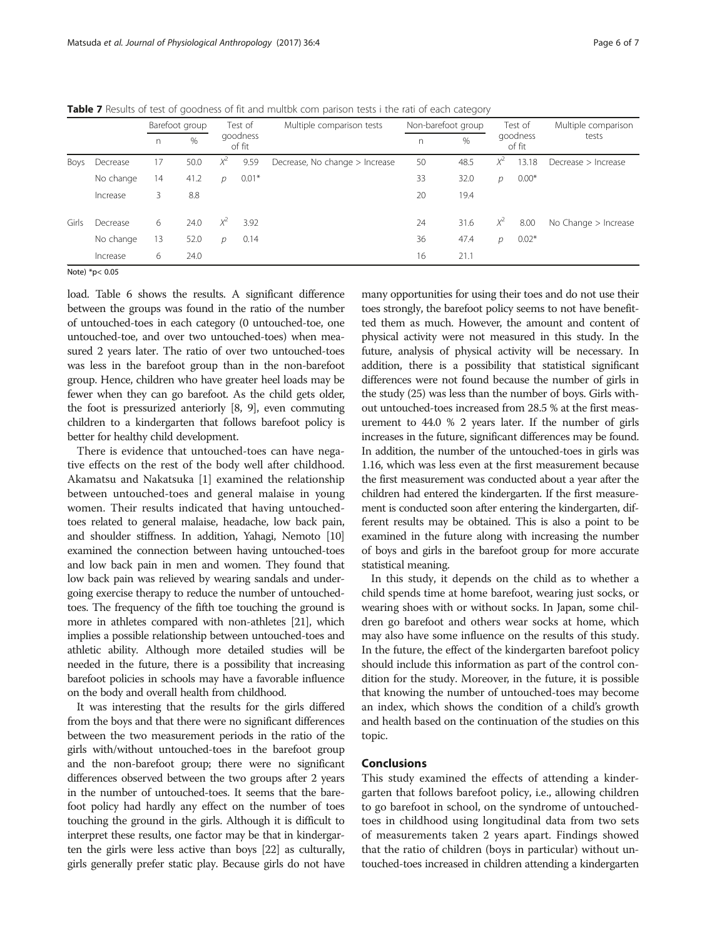|       |                            |    | Barefoot group |       | Test of            | Multiple comparison tests      |    | Non-barefoot group |                    | Test of | Multiple comparison    |
|-------|----------------------------|----|----------------|-------|--------------------|--------------------------------|----|--------------------|--------------------|---------|------------------------|
|       |                            | n  | %              |       | goodness<br>of fit |                                | n  | $\%$               | goodness<br>of fit |         | tests                  |
| Boys  | Decrease                   | 17 | 50.0           | $X^2$ | 9.59               | Decrease, No change > Increase | 50 | 48.5               | $X^2$              | 13.18   | Decrease > Increase    |
|       | No change                  | 14 | 41.2           | р     | $0.01*$            |                                | 33 | 32.0               | р                  | $0.00*$ |                        |
|       | Increase                   | 3  | 8.8            |       |                    |                                | 20 | 19.4               |                    |         |                        |
| Girls | Decrease                   | 6  | 24.0           | $X^2$ | 3.92               |                                | 24 | 31.6               | $X^2$              | 8.00    | No Change $>$ Increase |
|       | No change                  | 13 | 52.0           | р     | 0.14               |                                | 36 | 47.4               | р                  | $0.02*$ |                        |
|       | Increase                   | 6  | 24.0           |       |                    |                                | 16 | 21.1               |                    |         |                        |
|       | $\cdots$ $\cdots$ $\cdots$ |    |                |       |                    |                                |    |                    |                    |         |                        |

<span id="page-5-0"></span>Table 7 Results of test of goodness of fit and multbk com parison tests i the rati of each category

Note) \*p< 0.05

load. Table 6 shows the results. A significant difference between the groups was found in the ratio of the number of untouched-toes in each category (0 untouched-toe, one untouched-toe, and over two untouched-toes) when measured 2 years later. The ratio of over two untouched-toes was less in the barefoot group than in the non-barefoot group. Hence, children who have greater heel loads may be fewer when they can go barefoot. As the child gets older, the foot is pressurized anteriorly [\[8](#page-6-0), [9](#page-6-0)], even commuting children to a kindergarten that follows barefoot policy is better for healthy child development.

There is evidence that untouched-toes can have negative effects on the rest of the body well after childhood. Akamatsu and Nakatsuka [\[1](#page-6-0)] examined the relationship between untouched-toes and general malaise in young women. Their results indicated that having untouchedtoes related to general malaise, headache, low back pain, and shoulder stiffness. In addition, Yahagi, Nemoto [\[10](#page-6-0)] examined the connection between having untouched-toes and low back pain in men and women. They found that low back pain was relieved by wearing sandals and undergoing exercise therapy to reduce the number of untouchedtoes. The frequency of the fifth toe touching the ground is more in athletes compared with non-athletes [\[21\]](#page-6-0), which implies a possible relationship between untouched-toes and athletic ability. Although more detailed studies will be needed in the future, there is a possibility that increasing barefoot policies in schools may have a favorable influence on the body and overall health from childhood.

It was interesting that the results for the girls differed from the boys and that there were no significant differences between the two measurement periods in the ratio of the girls with/without untouched-toes in the barefoot group and the non-barefoot group; there were no significant differences observed between the two groups after 2 years in the number of untouched-toes. It seems that the barefoot policy had hardly any effect on the number of toes touching the ground in the girls. Although it is difficult to interpret these results, one factor may be that in kindergarten the girls were less active than boys [\[22\]](#page-6-0) as culturally, girls generally prefer static play. Because girls do not have many opportunities for using their toes and do not use their toes strongly, the barefoot policy seems to not have benefitted them as much. However, the amount and content of physical activity were not measured in this study. In the future, analysis of physical activity will be necessary. In addition, there is a possibility that statistical significant differences were not found because the number of girls in the study (25) was less than the number of boys. Girls without untouched-toes increased from 28.5 % at the first measurement to 44.0 % 2 years later. If the number of girls increases in the future, significant differences may be found. In addition, the number of the untouched-toes in girls was 1.16, which was less even at the first measurement because the first measurement was conducted about a year after the children had entered the kindergarten. If the first measurement is conducted soon after entering the kindergarten, different results may be obtained. This is also a point to be examined in the future along with increasing the number of boys and girls in the barefoot group for more accurate statistical meaning.

In this study, it depends on the child as to whether a child spends time at home barefoot, wearing just socks, or wearing shoes with or without socks. In Japan, some children go barefoot and others wear socks at home, which may also have some influence on the results of this study. In the future, the effect of the kindergarten barefoot policy should include this information as part of the control condition for the study. Moreover, in the future, it is possible that knowing the number of untouched-toes may become an index, which shows the condition of a child's growth and health based on the continuation of the studies on this topic.

## Conclusions

This study examined the effects of attending a kindergarten that follows barefoot policy, i.e., allowing children to go barefoot in school, on the syndrome of untouchedtoes in childhood using longitudinal data from two sets of measurements taken 2 years apart. Findings showed that the ratio of children (boys in particular) without untouched-toes increased in children attending a kindergarten